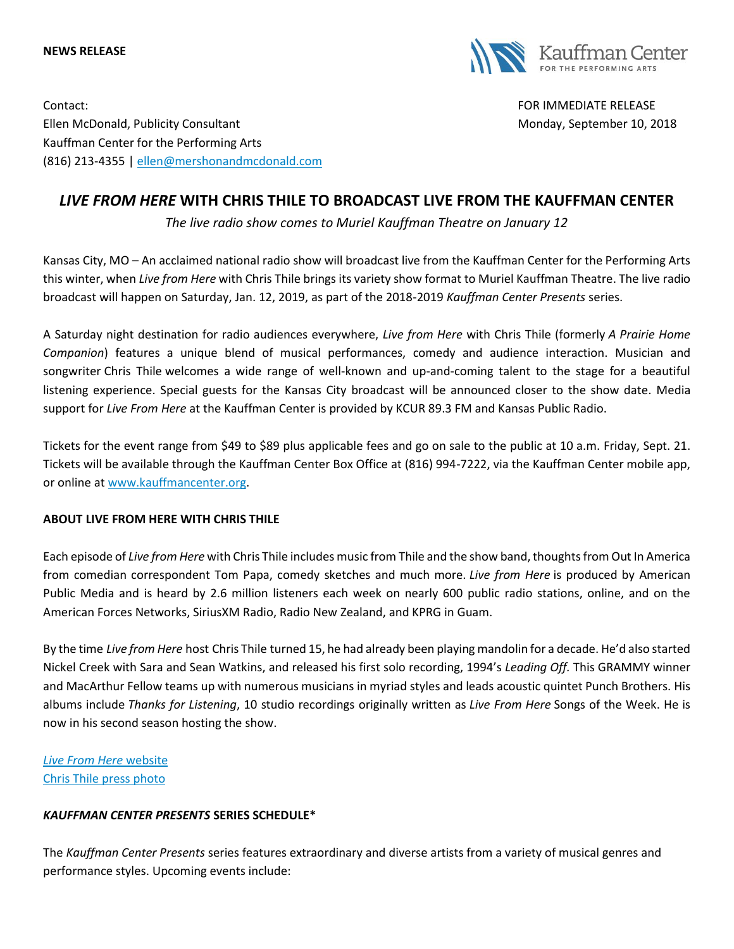#### **NEWS RELEASE**



Contact: FOR IMMEDIATE RELEASE Ellen McDonald, Publicity Consultant Monday, September 10, 2018 Kauffman Center for the Performing Arts (816) 213-4355 [| ellen@mershonandmcdonald.com](mailto:ellen@mershonandmcdonald.com)

# *LIVE FROM HERE* **WITH CHRIS THILE TO BROADCAST LIVE FROM THE KAUFFMAN CENTER**

*The live radio show comes to Muriel Kauffman Theatre on January 12*

Kansas City, MO – An acclaimed national radio show will broadcast live from the Kauffman Center for the Performing Arts this winter, when *Live from Here* with Chris Thile brings its variety show format to Muriel Kauffman Theatre. The live radio broadcast will happen on Saturday, Jan. 12, 2019, as part of the 2018-2019 *Kauffman Center Presents* series.

A Saturday night destination for radio audiences everywhere, *Live from Here* with Chris Thile (formerly *A Prairie Home Companion*) features a unique blend of musical performances, comedy and audience interaction. Musician and songwriter Chris Thile welcomes a wide range of well-known and up-and-coming talent to the stage for a beautiful listening experience. Special guests for the Kansas City broadcast will be announced closer to the show date. Media support for *Live From Here* at the Kauffman Center is provided by KCUR 89.3 FM and Kansas Public Radio.

Tickets for the event range from \$49 to \$89 plus applicable fees and go on sale to the public at 10 a.m. Friday, Sept. 21. Tickets will be available through the Kauffman Center Box Office at (816) 994-7222, via the Kauffman Center mobile app, or online at [www.kauffmancenter.org.](http://www.kauffmancenter.org/)

### **ABOUT LIVE FROM HERE WITH CHRIS THILE**

Each episode of *Live from Here* with Chris Thile includes music from Thile and the show band, thoughts from Out In America from comedian correspondent Tom Papa, comedy sketches and much more. *Live from Here* is produced by American Public Media and is heard by 2.6 million listeners each week on nearly 600 public radio stations, online, and on the American Forces Networks, SiriusXM Radio, Radio New Zealand, and KPRG in Guam.

By the time *Live from Here* host Chris Thile turned 15, he had already been playing mandolin for a decade. He'd also started Nickel Creek with Sara and Sean Watkins, and released his first solo recording, 1994's *Leading Off.* This GRAMMY winner and MacArthur Fellow teams up with numerous musicians in myriad styles and leads acoustic quintet Punch Brothers. His albums include *Thanks for Listening*, 10 studio recordings originally written as *Live From Here* Songs of the Week. He is now in his second season hosting the show.

*[Live From Here](https://www.livefromhere.org/)* website [Chris Thile press photo](https://www.flickr.com/photos/kauffmancenter/29453232227/in/album-72157666886914008/)

## *KAUFFMAN CENTER PRESENTS* **SERIES SCHEDULE\***

The *Kauffman Center Presents* series features extraordinary and diverse artists from a variety of musical genres and performance styles. Upcoming events include: